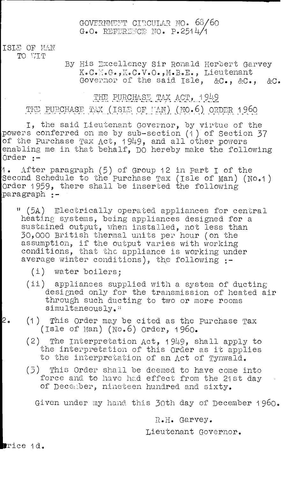## GOVERNMENT CIRCULAR NO. 68/60 G.O. REFERENCE NO. P.2514/1

ISLE OF MAN TO VIT

## By His Excellency Sir Ronald Herbert Garvey K.C.M.G., K.C.V.O., M.B.E., Lieutenant Governor of the said Isle, &C., &C., &C.

## THE PURCHASE TAX ACT, 1949 THE PURCHASE TAX (ISIE OF AN) (NO.6) ORDER 1960

I, the said Lieutenant Governor, by virtue of the powers conferred on me by sub-section (1) of Section 37 of the Purchase Tax Act, 1949, and all other powers enabling me in that behalf,  $\overline{D}0$  hereby make the following Order :-

1. After paragraph (5) of Group 12 in Part I of the Second Schedule to the Purchase Tax (Isle of Man) (No.1) Order 1959, there shall be inserted the following paragraph :-

- " (5A) Electrically operated appliances for central heating systems, being appliances designed for a sustained output, when installed, not less than 30,000 British thermal units per hour (on the assumption, if the output varies with working conditions, that the appliance is working under average winter conditions), the following :-
	- (i) water boilers;
	- (ii) appliances supplied with a system of ducting designed only for the transmission of heated air through such ducting to two or more rooms simultaneously."
	- (1) This Order may be cited as the Purchase Tax (Isle of man) (No.6) Order, 1960.
		- (2) The Interpretation Act, 1949, shall apply to the interpretation of this Order as it applies to the interpretation of an Act of Tynwald.
		- (3) This Order shall be deemed to have come into force and to have had effect from the 21st day of December, nineteen hundred and sixty.

Given under my hand this 30th day of December 1960.

R.H. Garvey.

Lieutenant Governor.

**P**rice 1d.

2.